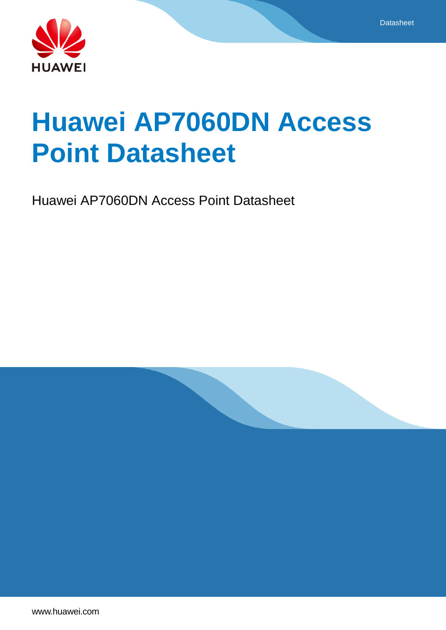



# **Huawei AP7060DN Access Point Datasheet**

Huawei AP7060DN Access Point Datasheet

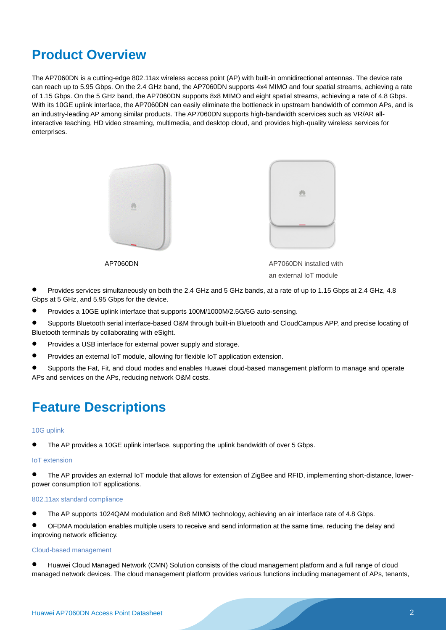# **Product Overview**

The AP7060DN is a cutting-edge 802.11ax wireless access point (AP) with built-in omnidirectional antennas. The device rate can reach up to 5.95 Gbps. On the 2.4 GHz band, the AP7060DN supports 4x4 MIMO and four spatial streams, achieving a rate of 1.15 Gbps. On the 5 GHz band, the AP7060DN supports 8x8 MIMO and eight spatial streams, achieving a rate of 4.8 Gbps. With its 10GE uplink interface, the AP7060DN can easily eliminate the bottleneck in upstream bandwidth of common APs, and is an industry-leading AP among similar products. The AP7060DN supports high-bandwidth scervices such as VR/AR allinteractive teaching, HD video streaming, multimedia, and desktop cloud, and provides high-quality wireless services for enterprises.



an external IoT module

- Provides services simultaneously on both the 2.4 GHz and 5 GHz bands, at a rate of up to 1.15 Gbps at 2.4 GHz, 4.8 Gbps at 5 GHz, and 5.95 Gbps for the device.
- Provides a 10GE uplink interface that supports 100M/1000M/2.5G/5G auto-sensing.
- Supports Bluetooth serial interface-based O&M through built-in Bluetooth and CloudCampus APP, and precise locating of Bluetooth terminals by collaborating with eSight.
- **•** Provides a USB interface for external power supply and storage.
- Provides an external IoT module, allowing for flexible IoT application extension.
- Supports the Fat, Fit, and cloud modes and enables Huawei cloud-based management platform to manage and operate APs and services on the APs, reducing network O&M costs.

### **Feature Descriptions**

#### 10G uplink

The AP provides a 10GE uplink interface, supporting the uplink bandwidth of over 5 Gbps.

#### IoT extension

 The AP provides an external IoT module that allows for extension of ZigBee and RFID, implementing short-distance, lowerpower consumption IoT applications.

#### 802.11ax standard compliance

- The AP supports 1024QAM modulation and 8x8 MIMO technology, achieving an air interface rate of 4.8 Gbps.
- OFDMA modulation enables multiple users to receive and send information at the same time, reducing the delay and improving network efficiency.

#### Cloud-based management

 Huawei Cloud Managed Network (CMN) Solution consists of the cloud management platform and a full range of cloud managed network devices. The cloud management platform provides various functions including management of APs, tenants,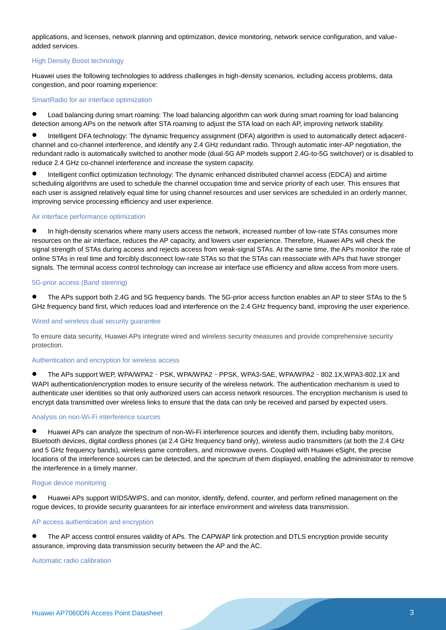applications, and licenses, network planning and optimization, device monitoring, network service configuration, and valueadded services.

#### High Density Boost technology

Huawei uses the following technologies to address challenges in high-density scenarios, including access problems, data congestion, and poor roaming experience:

#### SmartRadio for air interface optimization

 Load balancing during smart roaming: The load balancing algorithm can work during smart roaming for load balancing detection among APs on the network after STA roaming to adjust the STA load on each AP, improving network stability.

 Intelligent DFA technology: The dynamic frequency assignment (DFA) algorithm is used to automatically detect adjacentchannel and co-channel interference, and identify any 2.4 GHz redundant radio. Through automatic inter-AP negotiation, the redundant radio is automatically switched to another mode (dual-5G AP models support 2.4G-to-5G switchover) or is disabled to reduce 2.4 GHz co-channel interference and increase the system capacity.

 Intelligent conflict optimization technology: The dynamic enhanced distributed channel access (EDCA) and airtime scheduling algorithms are used to schedule the channel occupation time and service priority of each user. This ensures that each user is assigned relatively equal time for using channel resources and user services are scheduled in an orderly manner, improving service processing efficiency and user experience.

#### Air interface performance optimization

 In high-density scenarios where many users access the network, increased number of low-rate STAs consumes more resources on the air interface, reduces the AP capacity, and lowers user experience. Therefore, Huawei APs will check the signal strength of STAs during access and rejects access from weak-signal STAs. At the same time, the APs monitor the rate of online STAs in real time and forcibly disconnect low-rate STAs so that the STAs can reassociate with APs that have stronger signals. The terminal access control technology can increase air interface use efficiency and allow access from more users.

#### 5G-prior access (Band steering)

 The APs support both 2.4G and 5G frequency bands. The 5G-prior access function enables an AP to steer STAs to the 5 GHz frequency band first, which reduces load and interference on the 2.4 GHz frequency band, improving the user experience.

#### Wired and wireless dual security guarantee

To ensure data security, Huawei APs integrate wired and wireless security measures and provide comprehensive security protection.

#### Authentication and encryption for wireless access

 The APs support WEP, WPA/WPA2–PSK, WPA/WPA2–PPSK, WPA3-SAE, WPA/WPA2–802.1X,WPA3-802.1X and WAPI authentication/encryption modes to ensure security of the wireless network. The authentication mechanism is used to authenticate user identities so that only authorized users can access network resources. The encryption mechanism is used to encrypt data transmitted over wireless links to ensure that the data can only be received and parsed by expected users.

#### Analysis on non-Wi-Fi interference sources

 Huawei APs can analyze the spectrum of non-Wi-Fi interference sources and identify them, including baby monitors, Bluetooth devices, digital cordless phones (at 2.4 GHz frequency band only), wireless audio transmitters (at both the 2.4 GHz and 5 GHz frequency bands), wireless game controllers, and microwave ovens. Coupled with Huawei eSight, the precise locations of the interference sources can be detected, and the spectrum of them displayed, enabling the administrator to remove the interference in a timely manner.

#### Rogue device monitoring

 Huawei APs support WIDS/WIPS, and can monitor, identify, defend, counter, and perform refined management on the rogue devices, to provide security guarantees for air interface environment and wireless data transmission.

#### AP access authentication and encryption

 The AP access control ensures validity of APs. The CAPWAP link protection and DTLS encryption provide security assurance, improving data transmission security between the AP and the AC.

Automatic radio calibration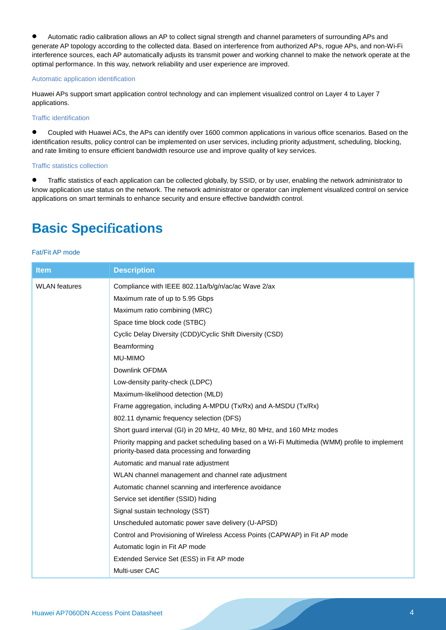Automatic radio calibration allows an AP to collect signal strength and channel parameters of surrounding APs and generate AP topology according to the collected data. Based on interference from authorized APs, rogue APs, and non-Wi-Fi interference sources, each AP automatically adjusts its transmit power and working channel to make the network operate at the optimal performance. In this way, network reliability and user experience are improved.

#### Automatic application identification

Huawei APs support smart application control technology and can implement visualized control on Layer 4 to Layer 7 applications.

#### Traffic identification

 Coupled with Huawei ACs, the APs can identify over 1600 common applications in various office scenarios. Based on the identification results, policy control can be implemented on user services, including priority adjustment, scheduling, blocking, and rate limiting to ensure efficient bandwidth resource use and improve quality of key services.

#### Traffic statistics collection

**Traffic statistics of each application can be collected globally, by SSID, or by user, enabling the network administrator to** know application use status on the network. The network administrator or operator can implement visualized control on service applications on smart terminals to enhance security and ensure effective bandwidth control.

### **Basic Specifications**

#### Fat/Fit AP mode

| <b>Item</b>          | <b>Description</b>                                                                                                                             |
|----------------------|------------------------------------------------------------------------------------------------------------------------------------------------|
| <b>WLAN</b> features | Compliance with IEEE 802.11a/b/g/n/ac/ac Wave 2/ax                                                                                             |
|                      | Maximum rate of up to 5.95 Gbps                                                                                                                |
|                      | Maximum ratio combining (MRC)                                                                                                                  |
|                      | Space time block code (STBC)                                                                                                                   |
|                      | Cyclic Delay Diversity (CDD)/Cyclic Shift Diversity (CSD)                                                                                      |
|                      | Beamforming                                                                                                                                    |
|                      | MU-MIMO                                                                                                                                        |
|                      | Downlink OFDMA                                                                                                                                 |
|                      | Low-density parity-check (LDPC)                                                                                                                |
|                      | Maximum-likelihood detection (MLD)                                                                                                             |
|                      | Frame aggregation, including A-MPDU (Tx/Rx) and A-MSDU (Tx/Rx)                                                                                 |
|                      | 802.11 dynamic frequency selection (DFS)                                                                                                       |
|                      | Short guard interval (GI) in 20 MHz, 40 MHz, 80 MHz, and 160 MHz modes                                                                         |
|                      | Priority mapping and packet scheduling based on a Wi-Fi Multimedia (WMM) profile to implement<br>priority-based data processing and forwarding |
|                      | Automatic and manual rate adjustment                                                                                                           |
|                      | WLAN channel management and channel rate adjustment                                                                                            |
|                      | Automatic channel scanning and interference avoidance                                                                                          |
|                      | Service set identifier (SSID) hiding                                                                                                           |
|                      | Signal sustain technology (SST)                                                                                                                |
|                      | Unscheduled automatic power save delivery (U-APSD)                                                                                             |
|                      | Control and Provisioning of Wireless Access Points (CAPWAP) in Fit AP mode                                                                     |
|                      | Automatic login in Fit AP mode                                                                                                                 |
|                      | Extended Service Set (ESS) in Fit AP mode                                                                                                      |
|                      | Multi-user CAC                                                                                                                                 |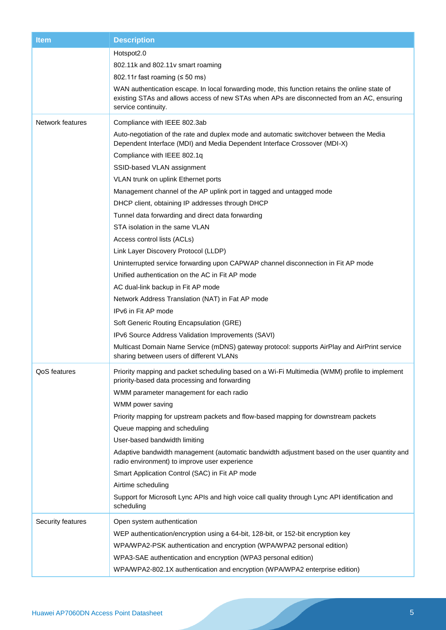| <b>Item</b>       | <b>Description</b>                                                                                                                                                                                                  |  |
|-------------------|---------------------------------------------------------------------------------------------------------------------------------------------------------------------------------------------------------------------|--|
|                   | Hotspot2.0                                                                                                                                                                                                          |  |
|                   | 802.11k and 802.11v smart roaming                                                                                                                                                                                   |  |
|                   | 802.11r fast roaming $(50 \text{ ms})$                                                                                                                                                                              |  |
|                   | WAN authentication escape. In local forwarding mode, this function retains the online state of<br>existing STAs and allows access of new STAs when APs are disconnected from an AC, ensuring<br>service continuity. |  |
| Network features  | Compliance with IEEE 802.3ab                                                                                                                                                                                        |  |
|                   | Auto-negotiation of the rate and duplex mode and automatic switchover between the Media<br>Dependent Interface (MDI) and Media Dependent Interface Crossover (MDI-X)                                                |  |
|                   | Compliance with IEEE 802.1q                                                                                                                                                                                         |  |
|                   | SSID-based VLAN assignment                                                                                                                                                                                          |  |
|                   | VLAN trunk on uplink Ethernet ports                                                                                                                                                                                 |  |
|                   | Management channel of the AP uplink port in tagged and untagged mode                                                                                                                                                |  |
|                   | DHCP client, obtaining IP addresses through DHCP                                                                                                                                                                    |  |
|                   | Tunnel data forwarding and direct data forwarding                                                                                                                                                                   |  |
|                   | STA isolation in the same VLAN                                                                                                                                                                                      |  |
|                   | Access control lists (ACLs)                                                                                                                                                                                         |  |
|                   | Link Layer Discovery Protocol (LLDP)                                                                                                                                                                                |  |
|                   | Uninterrupted service forwarding upon CAPWAP channel disconnection in Fit AP mode                                                                                                                                   |  |
|                   | Unified authentication on the AC in Fit AP mode                                                                                                                                                                     |  |
|                   | AC dual-link backup in Fit AP mode                                                                                                                                                                                  |  |
|                   | Network Address Translation (NAT) in Fat AP mode                                                                                                                                                                    |  |
|                   | IPv6 in Fit AP mode                                                                                                                                                                                                 |  |
|                   | Soft Generic Routing Encapsulation (GRE)                                                                                                                                                                            |  |
|                   | IPv6 Source Address Validation Improvements (SAVI)                                                                                                                                                                  |  |
|                   | Multicast Domain Name Service (mDNS) gateway protocol: supports AirPlay and AirPrint service<br>sharing between users of different VLANs                                                                            |  |
| QoS features      | Priority mapping and packet scheduling based on a Wi-Fi Multimedia (WMM) profile to implement<br>priority-based data processing and forwarding                                                                      |  |
|                   | WMM parameter management for each radio                                                                                                                                                                             |  |
|                   | WMM power saving                                                                                                                                                                                                    |  |
|                   | Priority mapping for upstream packets and flow-based mapping for downstream packets                                                                                                                                 |  |
|                   | Queue mapping and scheduling                                                                                                                                                                                        |  |
|                   | User-based bandwidth limiting                                                                                                                                                                                       |  |
|                   | Adaptive bandwidth management (automatic bandwidth adjustment based on the user quantity and<br>radio environment) to improve user experience                                                                       |  |
|                   | Smart Application Control (SAC) in Fit AP mode                                                                                                                                                                      |  |
|                   | Airtime scheduling                                                                                                                                                                                                  |  |
|                   | Support for Microsoft Lync APIs and high voice call quality through Lync API identification and<br>scheduling                                                                                                       |  |
| Security features | Open system authentication                                                                                                                                                                                          |  |
|                   | WEP authentication/encryption using a 64-bit, 128-bit, or 152-bit encryption key                                                                                                                                    |  |
|                   | WPA/WPA2-PSK authentication and encryption (WPA/WPA2 personal edition)                                                                                                                                              |  |
|                   | WPA3-SAE authentication and encryption (WPA3 personal edition)                                                                                                                                                      |  |
|                   | WPA/WPA2-802.1X authentication and encryption (WPA/WPA2 enterprise edition)                                                                                                                                         |  |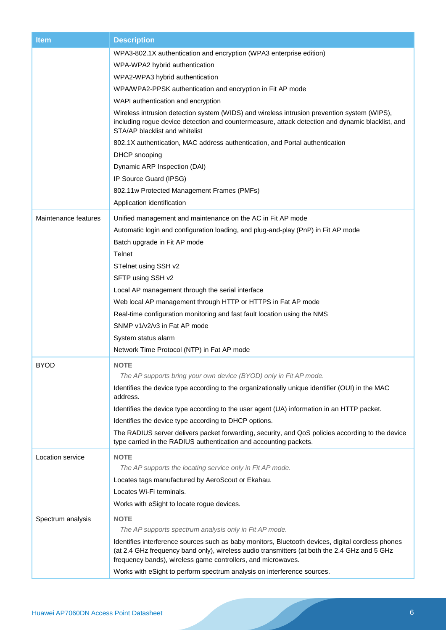| <b>Item</b>          | <b>Description</b>                                                                                                                                                                                                                |
|----------------------|-----------------------------------------------------------------------------------------------------------------------------------------------------------------------------------------------------------------------------------|
|                      | WPA3-802.1X authentication and encryption (WPA3 enterprise edition)                                                                                                                                                               |
|                      | WPA-WPA2 hybrid authentication                                                                                                                                                                                                    |
|                      | WPA2-WPA3 hybrid authentication                                                                                                                                                                                                   |
|                      | WPA/WPA2-PPSK authentication and encryption in Fit AP mode                                                                                                                                                                        |
|                      | WAPI authentication and encryption                                                                                                                                                                                                |
|                      | Wireless intrusion detection system (WIDS) and wireless intrusion prevention system (WIPS),<br>including rogue device detection and countermeasure, attack detection and dynamic blacklist, and<br>STA/AP blacklist and whitelist |
|                      | 802.1X authentication, MAC address authentication, and Portal authentication                                                                                                                                                      |
|                      | DHCP snooping                                                                                                                                                                                                                     |
|                      | Dynamic ARP Inspection (DAI)                                                                                                                                                                                                      |
|                      | IP Source Guard (IPSG)                                                                                                                                                                                                            |
|                      | 802.11w Protected Management Frames (PMFs)                                                                                                                                                                                        |
|                      | Application identification                                                                                                                                                                                                        |
| Maintenance features | Unified management and maintenance on the AC in Fit AP mode                                                                                                                                                                       |
|                      | Automatic login and configuration loading, and plug-and-play (PnP) in Fit AP mode                                                                                                                                                 |
|                      | Batch upgrade in Fit AP mode                                                                                                                                                                                                      |
|                      | Telnet                                                                                                                                                                                                                            |
|                      | STelnet using SSH v2                                                                                                                                                                                                              |
|                      | SFTP using SSH v2                                                                                                                                                                                                                 |
|                      | Local AP management through the serial interface                                                                                                                                                                                  |
|                      | Web local AP management through HTTP or HTTPS in Fat AP mode                                                                                                                                                                      |
|                      | Real-time configuration monitoring and fast fault location using the NMS                                                                                                                                                          |
|                      | SNMP v1/v2/v3 in Fat AP mode                                                                                                                                                                                                      |
|                      | System status alarm                                                                                                                                                                                                               |
|                      | Network Time Protocol (NTP) in Fat AP mode                                                                                                                                                                                        |
| <b>BYOD</b>          | <b>NOTE</b>                                                                                                                                                                                                                       |
|                      | The AP supports bring your own device (BYOD) only in Fit AP mode.                                                                                                                                                                 |
|                      | Identifies the device type according to the organizationally unique identifier (OUI) in the MAC<br>address.                                                                                                                       |
|                      | Identifies the device type according to the user agent (UA) information in an HTTP packet.                                                                                                                                        |
|                      | Identifies the device type according to DHCP options.                                                                                                                                                                             |
|                      | The RADIUS server delivers packet forwarding, security, and QoS policies according to the device<br>type carried in the RADIUS authentication and accounting packets.                                                             |
|                      |                                                                                                                                                                                                                                   |
| Location service     | <b>NOTE</b><br>The AP supports the locating service only in Fit AP mode.                                                                                                                                                          |
|                      | Locates tags manufactured by AeroScout or Ekahau.                                                                                                                                                                                 |
|                      | Locates Wi-Fi terminals.                                                                                                                                                                                                          |
|                      | Works with eSight to locate rogue devices.                                                                                                                                                                                        |
|                      |                                                                                                                                                                                                                                   |
| Spectrum analysis    | <b>NOTE</b><br>The AP supports spectrum analysis only in Fit AP mode.                                                                                                                                                             |
|                      | Identifies interference sources such as baby monitors, Bluetooth devices, digital cordless phones                                                                                                                                 |
|                      | (at 2.4 GHz frequency band only), wireless audio transmitters (at both the 2.4 GHz and 5 GHz<br>frequency bands), wireless game controllers, and microwaves.                                                                      |
|                      | Works with eSight to perform spectrum analysis on interference sources.                                                                                                                                                           |
|                      |                                                                                                                                                                                                                                   |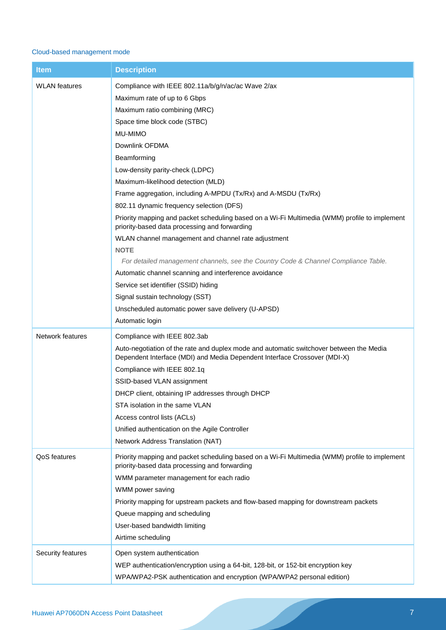#### Cloud-based management mode

| <b>Item</b>          | <b>Description</b>                                                                                                                                                                                                                                                                                                                                                                                                                                                                                                                                                                                                                                                                                                                                                                                                                                                                                                |
|----------------------|-------------------------------------------------------------------------------------------------------------------------------------------------------------------------------------------------------------------------------------------------------------------------------------------------------------------------------------------------------------------------------------------------------------------------------------------------------------------------------------------------------------------------------------------------------------------------------------------------------------------------------------------------------------------------------------------------------------------------------------------------------------------------------------------------------------------------------------------------------------------------------------------------------------------|
| <b>WLAN</b> features | Compliance with IEEE 802.11a/b/g/n/ac/ac Wave 2/ax<br>Maximum rate of up to 6 Gbps<br>Maximum ratio combining (MRC)<br>Space time block code (STBC)<br>MU-MIMO<br>Downlink OFDMA<br>Beamforming<br>Low-density parity-check (LDPC)<br>Maximum-likelihood detection (MLD)<br>Frame aggregation, including A-MPDU (Tx/Rx) and A-MSDU (Tx/Rx)<br>802.11 dynamic frequency selection (DFS)<br>Priority mapping and packet scheduling based on a Wi-Fi Multimedia (WMM) profile to implement<br>priority-based data processing and forwarding<br>WLAN channel management and channel rate adjustment<br><b>NOTE</b><br>For detailed management channels, see the Country Code & Channel Compliance Table.<br>Automatic channel scanning and interference avoidance<br>Service set identifier (SSID) hiding<br>Signal sustain technology (SST)<br>Unscheduled automatic power save delivery (U-APSD)<br>Automatic login |
| Network features     | Compliance with IEEE 802.3ab<br>Auto-negotiation of the rate and duplex mode and automatic switchover between the Media<br>Dependent Interface (MDI) and Media Dependent Interface Crossover (MDI-X)<br>Compliance with IEEE 802.1q<br>SSID-based VLAN assignment<br>DHCP client, obtaining IP addresses through DHCP<br>STA isolation in the same VLAN<br>Access control lists (ACLs)<br>Unified authentication on the Agile Controller<br>Network Address Translation (NAT)                                                                                                                                                                                                                                                                                                                                                                                                                                     |
| <b>QoS</b> features  | Priority mapping and packet scheduling based on a Wi-Fi Multimedia (WMM) profile to implement<br>priority-based data processing and forwarding<br>WMM parameter management for each radio<br>WMM power saving<br>Priority mapping for upstream packets and flow-based mapping for downstream packets<br>Queue mapping and scheduling<br>User-based bandwidth limiting<br>Airtime scheduling                                                                                                                                                                                                                                                                                                                                                                                                                                                                                                                       |
| Security features    | Open system authentication<br>WEP authentication/encryption using a 64-bit, 128-bit, or 152-bit encryption key<br>WPA/WPA2-PSK authentication and encryption (WPA/WPA2 personal edition)                                                                                                                                                                                                                                                                                                                                                                                                                                                                                                                                                                                                                                                                                                                          |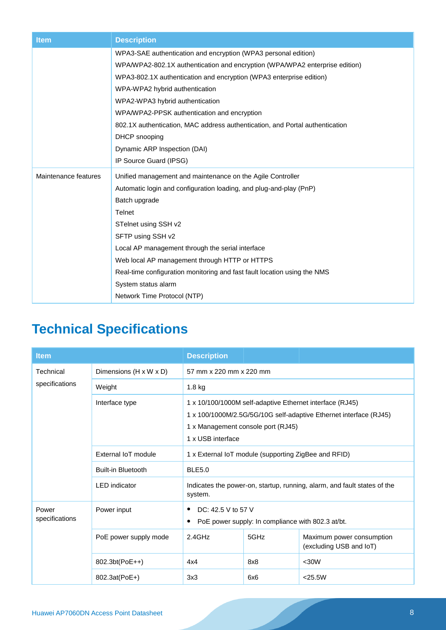| <b>Item</b>          | <b>Description</b>                                                           |
|----------------------|------------------------------------------------------------------------------|
|                      | WPA3-SAE authentication and encryption (WPA3 personal edition)               |
|                      | WPA/WPA2-802.1X authentication and encryption (WPA/WPA2 enterprise edition)  |
|                      | WPA3-802.1X authentication and encryption (WPA3 enterprise edition)          |
|                      | WPA-WPA2 hybrid authentication                                               |
|                      | WPA2-WPA3 hybrid authentication                                              |
|                      | WPA/WPA2-PPSK authentication and encryption                                  |
|                      | 802.1X authentication, MAC address authentication, and Portal authentication |
|                      | DHCP snooping                                                                |
|                      | Dynamic ARP Inspection (DAI)                                                 |
|                      | IP Source Guard (IPSG)                                                       |
| Maintenance features | Unified management and maintenance on the Agile Controller                   |
|                      | Automatic login and configuration loading, and plug-and-play (PnP)           |
|                      | Batch upgrade                                                                |
|                      | <b>Telnet</b>                                                                |
|                      | STelnet using SSH v2                                                         |
|                      | SFTP using SSH v2                                                            |
|                      | Local AP management through the serial interface                             |
|                      | Web local AP management through HTTP or HTTPS                                |
|                      | Real-time configuration monitoring and fast fault location using the NMS     |
|                      | System status alarm                                                          |
|                      | Network Time Protocol (NTP)                                                  |

# **Technical Specifications**

| <b>Item</b>                 |                           | <b>Description</b>                                                                        |                                                                                                                                                                     |                                                      |
|-----------------------------|---------------------------|-------------------------------------------------------------------------------------------|---------------------------------------------------------------------------------------------------------------------------------------------------------------------|------------------------------------------------------|
| Technical<br>specifications | Dimensions (H x W x D)    | 57 mm x 220 mm x 220 mm                                                                   |                                                                                                                                                                     |                                                      |
|                             | Weight                    | 1.8 kg                                                                                    |                                                                                                                                                                     |                                                      |
|                             | Interface type            | 1 x USB interface                                                                         | 1 x 10/100/1000M self-adaptive Ethernet interface (RJ45)<br>1 x 100/1000M/2.5G/5G/10G self-adaptive Ethernet interface (RJ45)<br>1 x Management console port (RJ45) |                                                      |
|                             | External IoT module       | 1 x External IoT module (supporting ZigBee and RFID)                                      |                                                                                                                                                                     |                                                      |
|                             | <b>Built-in Bluetooth</b> | <b>BLE5.0</b>                                                                             |                                                                                                                                                                     |                                                      |
|                             | <b>LED</b> indicator      | Indicates the power-on, startup, running, alarm, and fault states of the<br>system.       |                                                                                                                                                                     |                                                      |
| Power<br>specifications     | Power input               | DC: 42.5 V to 57 V<br>$\bullet$<br>PoE power supply: In compliance with 802.3 at/bt.<br>٠ |                                                                                                                                                                     |                                                      |
|                             | PoE power supply mode     | $2.4$ GHz                                                                                 | 5GHz                                                                                                                                                                | Maximum power consumption<br>(excluding USB and IoT) |
|                             | 802.3bt(PoE++)            | 4x4                                                                                       | 8x8                                                                                                                                                                 | <30W                                                 |
|                             | 802.3at(PoE+)             | 3x3                                                                                       | 6x6                                                                                                                                                                 | $<$ 25.5W                                            |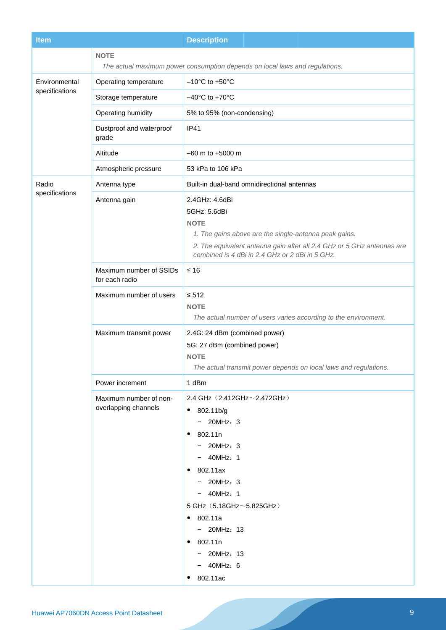| <b>Item</b>                     |                                                | <b>Description</b>                                                                                                                                                                                                                                                                                                                            |  |
|---------------------------------|------------------------------------------------|-----------------------------------------------------------------------------------------------------------------------------------------------------------------------------------------------------------------------------------------------------------------------------------------------------------------------------------------------|--|
|                                 | <b>NOTE</b>                                    | The actual maximum power consumption depends on local laws and regulations.                                                                                                                                                                                                                                                                   |  |
| Environmental<br>specifications | Operating temperature                          | $-10^{\circ}$ C to +50 $^{\circ}$ C                                                                                                                                                                                                                                                                                                           |  |
|                                 | Storage temperature                            | $-40^{\circ}$ C to +70 $^{\circ}$ C                                                                                                                                                                                                                                                                                                           |  |
|                                 | Operating humidity                             | 5% to 95% (non-condensing)                                                                                                                                                                                                                                                                                                                    |  |
|                                 | Dustproof and waterproof<br>grade              | <b>IP41</b>                                                                                                                                                                                                                                                                                                                                   |  |
|                                 | Altitude                                       | $-60$ m to $+5000$ m                                                                                                                                                                                                                                                                                                                          |  |
|                                 | Atmospheric pressure                           | 53 kPa to 106 kPa                                                                                                                                                                                                                                                                                                                             |  |
| Radio                           | Antenna type                                   | Built-in dual-band omnidirectional antennas                                                                                                                                                                                                                                                                                                   |  |
| specifications                  | Antenna gain                                   | 2.4GHz: 4.6dBi<br>5GHz: 5.6dBi<br><b>NOTE</b><br>1. The gains above are the single-antenna peak gains.<br>2. The equivalent antenna gain after all 2.4 GHz or 5 GHz antennas are<br>combined is 4 dBi in 2.4 GHz or 2 dBi in 5 GHz.                                                                                                           |  |
|                                 | Maximum number of SSIDs<br>for each radio      | $≤ 16$                                                                                                                                                                                                                                                                                                                                        |  |
|                                 | Maximum number of users                        | $\leq 512$<br><b>NOTE</b><br>The actual number of users varies according to the environment.                                                                                                                                                                                                                                                  |  |
|                                 | Maximum transmit power                         | 2.4G: 24 dBm (combined power)<br>5G: 27 dBm (combined power)<br><b>NOTE</b><br>The actual transmit power depends on local laws and regulations.                                                                                                                                                                                               |  |
|                                 | Power increment                                | 1 dBm                                                                                                                                                                                                                                                                                                                                         |  |
|                                 | Maximum number of non-<br>overlapping channels | 2.4 GHz (2.412GHz~2.472GHz)<br>802.11b/g<br>$\bullet$<br>$-$ 20MHz: 3<br>802.11n<br>$\bullet$<br>$-$ 20MHz: 3<br>$-$ 40MHz: 1<br>802.11ax<br>$\bullet$<br>$-$ 20MHz: 3<br>$-$ 40MHz: 1<br>5 GHz (5.18GHz~5.825GHz)<br>802.11a<br>$\bullet$<br>$-$ 20MHz: 13<br>802.11n<br>$\bullet$<br>$-$ 20MHz: 13<br>$-$ 40MHz: 6<br>802.11ac<br>$\bullet$ |  |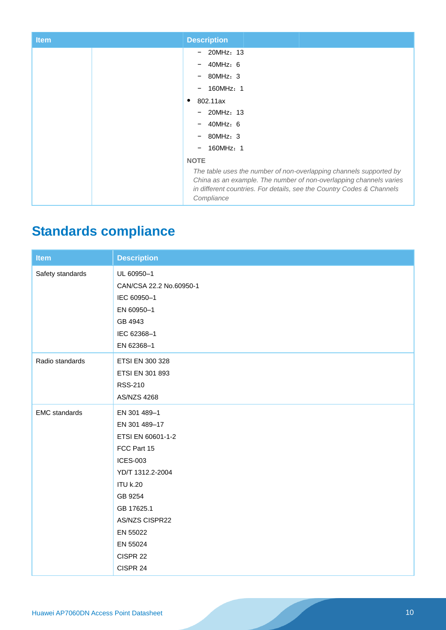| <b>Item</b> | <b>Description</b>                                                                                                                                                                                                              |
|-------------|---------------------------------------------------------------------------------------------------------------------------------------------------------------------------------------------------------------------------------|
|             | $-$ 20MHz: 13                                                                                                                                                                                                                   |
|             | 40MHz: 6<br>$-$                                                                                                                                                                                                                 |
|             | 80MHz: 3<br>$-$                                                                                                                                                                                                                 |
|             | 160MHz: 1<br>$\qquad \qquad -$                                                                                                                                                                                                  |
|             | 802.11ax<br>٠                                                                                                                                                                                                                   |
|             | $-$ 20MHz: 13                                                                                                                                                                                                                   |
|             | 40MHz: 6                                                                                                                                                                                                                        |
|             | 80MHz: 3                                                                                                                                                                                                                        |
|             | 160MHz: 1<br>$\qquad \qquad \blacksquare$                                                                                                                                                                                       |
|             | <b>NOTE</b>                                                                                                                                                                                                                     |
|             | The table uses the number of non-overlapping channels supported by<br>China as an example. The number of non-overlapping channels varies<br>in different countries. For details, see the Country Codes & Channels<br>Compliance |

# **Standards compliance**

| <b>Item</b>          | <b>Description</b>      |
|----------------------|-------------------------|
| Safety standards     | UL 60950-1              |
|                      | CAN/CSA 22.2 No.60950-1 |
|                      | IEC 60950-1             |
|                      | EN 60950-1              |
|                      | GB 4943                 |
|                      | IEC 62368-1             |
|                      | EN 62368-1              |
| Radio standards      | ETSI EN 300 328         |
|                      | ETSI EN 301 893         |
|                      | <b>RSS-210</b>          |
|                      | <b>AS/NZS 4268</b>      |
| <b>EMC</b> standards | EN 301 489-1            |
|                      | EN 301 489-17           |
|                      | ETSI EN 60601-1-2       |
|                      | FCC Part 15             |
|                      | <b>ICES-003</b>         |
|                      | YD/T 1312.2-2004        |
|                      | <b>ITU k.20</b>         |
|                      | GB 9254                 |
|                      | GB 17625.1              |
|                      | AS/NZS CISPR22          |
|                      | EN 55022                |
|                      | EN 55024                |
|                      | CISPR 22                |
|                      | CISPR 24                |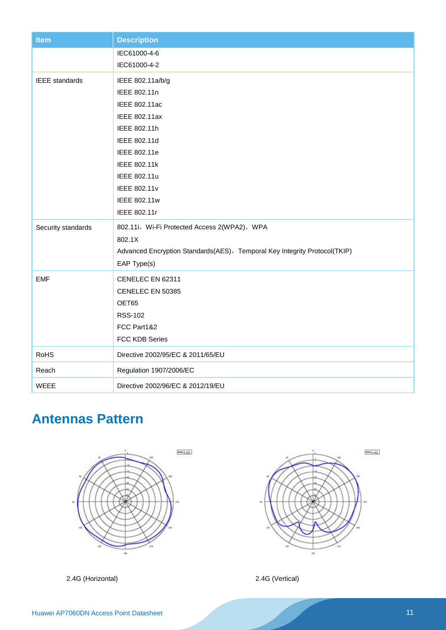| <b>Item</b>           | <b>Description</b>                                                        |
|-----------------------|---------------------------------------------------------------------------|
|                       | IEC61000-4-6                                                              |
|                       | IEC61000-4-2                                                              |
| <b>IEEE</b> standards | IEEE 802.11a/b/g                                                          |
|                       | IEEE 802.11n                                                              |
|                       | IEEE 802.11ac                                                             |
|                       | IEEE 802.11ax                                                             |
|                       | IEEE 802.11h                                                              |
|                       | IEEE 802.11d                                                              |
|                       | IEEE 802.11e                                                              |
|                       | IEEE 802.11k                                                              |
|                       | IEEE 802.11u                                                              |
|                       | IEEE 802.11v                                                              |
|                       | IEEE 802.11w                                                              |
|                       | IEEE 802.11r                                                              |
| Security standards    | 802.11i, Wi-Fi Protected Access 2(WPA2), WPA                              |
|                       | 802.1X                                                                    |
|                       | Advanced Encryption Standards(AES), Temporal Key Integrity Protocol(TKIP) |
|                       | EAP Type(s)                                                               |
| <b>EMF</b>            | CENELEC EN 62311                                                          |
|                       | CENELEC EN 50385                                                          |
|                       | OET65                                                                     |
|                       | <b>RSS-102</b>                                                            |
|                       | FCC Part1&2                                                               |
|                       | FCC KDB Series                                                            |
| <b>RoHS</b>           | Directive 2002/95/EC & 2011/65/EU                                         |
| Reach                 | Regulation 1907/2006/EC                                                   |
| <b>WEEE</b>           | Directive 2002/96/EC & 2012/19/EU                                         |

# **Antennas Pattern**





2.4G (Horizontal) 2.4G (Vertical)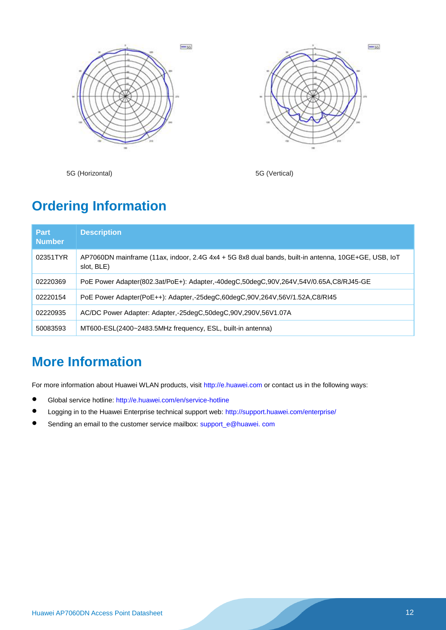



5G (Horizontal) 5G (Vertical)

### **Ordering Information**

| <b>Part</b><br><b>Number</b> | <b>Description</b>                                                                                                |
|------------------------------|-------------------------------------------------------------------------------------------------------------------|
| 02351TYR                     | AP7060DN mainframe (11ax, indoor, 2.4G 4x4 + 5G 8x8 dual bands, built-in antenna, 10GE+GE, USB, IoT<br>slot, BLE) |
| 02220369                     | PoE Power Adapter(802.3at/PoE+): Adapter,-40degC,50degC,90V,264V,54V/0.65A,C8/RJ45-GE                             |
| 02220154                     | PoE Power Adapter(PoE++): Adapter,-25degC,60degC,90V,264V,56V/1.52A,C8/RI45                                       |
| 02220935                     | AC/DC Power Adapter: Adapter,-25degC,50degC,90V,290V,56V1.07A                                                     |
| 50083593                     | MT600-ESL(2400~2483.5MHz frequency, ESL, built-in antenna)                                                        |

# **More Information**

For more information about Huawei WLAN products, visit [http://e.huawei.com](http://e.huawei.com/) or contact us in the following ways:

- Global service hotline:<http://e.huawei.com/en/service-hotline>
- Logging in to the Huawei Enterprise technical support web:<http://support.huawei.com/enterprise/>
- Sending an email to the customer service mailbox: support\_e@huawei. com